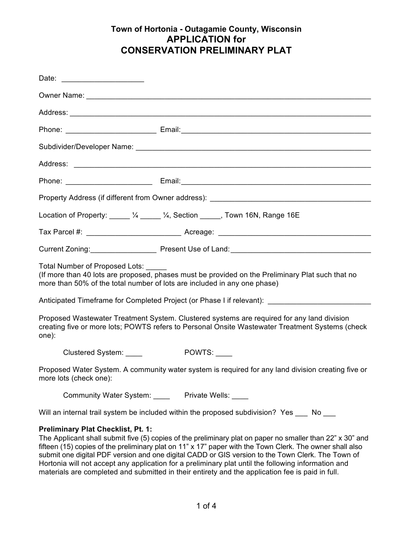| Date: ________________________                                                                                                                                                                                 |                                                                                                                                                                                                                                                                                                                            |  |  |  |
|----------------------------------------------------------------------------------------------------------------------------------------------------------------------------------------------------------------|----------------------------------------------------------------------------------------------------------------------------------------------------------------------------------------------------------------------------------------------------------------------------------------------------------------------------|--|--|--|
|                                                                                                                                                                                                                |                                                                                                                                                                                                                                                                                                                            |  |  |  |
|                                                                                                                                                                                                                |                                                                                                                                                                                                                                                                                                                            |  |  |  |
|                                                                                                                                                                                                                |                                                                                                                                                                                                                                                                                                                            |  |  |  |
|                                                                                                                                                                                                                |                                                                                                                                                                                                                                                                                                                            |  |  |  |
|                                                                                                                                                                                                                |                                                                                                                                                                                                                                                                                                                            |  |  |  |
|                                                                                                                                                                                                                |                                                                                                                                                                                                                                                                                                                            |  |  |  |
|                                                                                                                                                                                                                | Property Address (if different from Owner address): ____________________________                                                                                                                                                                                                                                           |  |  |  |
|                                                                                                                                                                                                                | Location of Property: _____ 1/4 _____ 1/4, Section _____, Town 16N, Range 16E                                                                                                                                                                                                                                              |  |  |  |
|                                                                                                                                                                                                                |                                                                                                                                                                                                                                                                                                                            |  |  |  |
|                                                                                                                                                                                                                |                                                                                                                                                                                                                                                                                                                            |  |  |  |
| Total Number of Proposed Lots:<br>(If more than 40 lots are proposed, phases must be provided on the Preliminary Plat such that no<br>more than 50% of the total number of lots are included in any one phase) |                                                                                                                                                                                                                                                                                                                            |  |  |  |
| Anticipated Timeframe for Completed Project (or Phase I if relevant): ______________________________                                                                                                           |                                                                                                                                                                                                                                                                                                                            |  |  |  |
| one):                                                                                                                                                                                                          | Proposed Wastewater Treatment System. Clustered systems are required for any land division<br>creating five or more lots; POWTS refers to Personal Onsite Wastewater Treatment Systems (check                                                                                                                              |  |  |  |
| Clustered System: ____                                                                                                                                                                                         | POWTS:                                                                                                                                                                                                                                                                                                                     |  |  |  |
| Proposed Water System. A community water system is required for any land division creating five or<br>more lots (check one):                                                                                   |                                                                                                                                                                                                                                                                                                                            |  |  |  |
| Community Water System: _____ Private Wells: ____                                                                                                                                                              |                                                                                                                                                                                                                                                                                                                            |  |  |  |
| Will an internal trail system be included within the proposed subdivision? Yes ____ No ___                                                                                                                     |                                                                                                                                                                                                                                                                                                                            |  |  |  |
| <b>Preliminary Plat Checklist, Pt. 1:</b>                                                                                                                                                                      | The Applicant shall submit five (5) copies of the preliminary plat on paper no smaller than 22" x 30" and<br>fifteen (15) copies of the preliminary plat on 11" x 17" paper with the Town Clerk. The owner shall also<br>submit one digital PDF version and one digital CADD or GIS version to the Town Clerk. The Town of |  |  |  |

submit one digital PDF version and one digital CADD or GIS version to the Town Clerk. The Town of Hortonia will not accept any application for a preliminary plat until the following information and materials are completed and submitted in their entirety and the application fee is paid in full.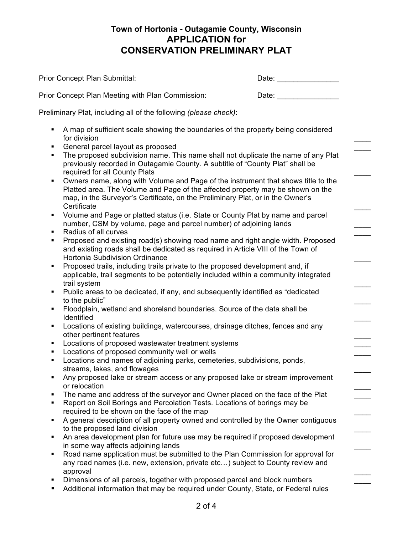|          | Prior Concept Plan Submittal:                                                                                                                                                                       | Date: __________________                                                                                                                                                                                                       |
|----------|-----------------------------------------------------------------------------------------------------------------------------------------------------------------------------------------------------|--------------------------------------------------------------------------------------------------------------------------------------------------------------------------------------------------------------------------------|
|          | Prior Concept Plan Meeting with Plan Commission:                                                                                                                                                    | Date: the contract of the contract of the contract of the contract of the contract of the contract of the contract of the contract of the contract of the contract of the contract of the contract of the contract of the cont |
|          | Preliminary Plat, including all of the following (please check):                                                                                                                                    |                                                                                                                                                                                                                                |
| ٠        |                                                                                                                                                                                                     |                                                                                                                                                                                                                                |
|          | A map of sufficient scale showing the boundaries of the property being considered<br>for division                                                                                                   |                                                                                                                                                                                                                                |
| ٠        | General parcel layout as proposed                                                                                                                                                                   |                                                                                                                                                                                                                                |
| ٠        | The proposed subdivision name. This name shall not duplicate the name of any Plat<br>previously recorded in Outagamie County. A subtitle of "County Plat" shall be<br>required for all County Plats |                                                                                                                                                                                                                                |
| ٠        | Owners name, along with Volume and Page of the instrument that shows title to the                                                                                                                   |                                                                                                                                                                                                                                |
|          | Platted area. The Volume and Page of the affected property may be shown on the<br>map, in the Surveyor's Certificate, on the Preliminary Plat, or in the Owner's<br>Certificate                     |                                                                                                                                                                                                                                |
| ٠        | Volume and Page or platted status (i.e. State or County Plat by name and parcel                                                                                                                     |                                                                                                                                                                                                                                |
|          | number, CSM by volume, page and parcel number) of adjoining lands                                                                                                                                   |                                                                                                                                                                                                                                |
| ٠        | Radius of all curves                                                                                                                                                                                |                                                                                                                                                                                                                                |
| ٠        | Proposed and existing road(s) showing road name and right angle width. Proposed                                                                                                                     |                                                                                                                                                                                                                                |
|          | and existing roads shall be dedicated as required in Article VIII of the Town of<br>Hortonia Subdivision Ordinance                                                                                  |                                                                                                                                                                                                                                |
| ٠        | Proposed trails, including trails private to the proposed development and, if                                                                                                                       |                                                                                                                                                                                                                                |
|          | applicable, trail segments to be potentially included within a community integrated<br>trail system                                                                                                 |                                                                                                                                                                                                                                |
| ٠        | Public areas to be dedicated, if any, and subsequently identified as "dedicated                                                                                                                     |                                                                                                                                                                                                                                |
|          | to the public"                                                                                                                                                                                      |                                                                                                                                                                                                                                |
| ٠        | Floodplain, wetland and shoreland boundaries. Source of the data shall be<br>Identified                                                                                                             |                                                                                                                                                                                                                                |
| ٠        | Locations of existing buildings, watercourses, drainage ditches, fences and any                                                                                                                     |                                                                                                                                                                                                                                |
|          | other pertinent features                                                                                                                                                                            |                                                                                                                                                                                                                                |
| п<br>٠   | Locations of proposed wastewater treatment systems<br>Locations of proposed community well or wells                                                                                                 |                                                                                                                                                                                                                                |
| ٠        | Locations and names of adjoining parks, cemeteries, subdivisions, ponds,                                                                                                                            |                                                                                                                                                                                                                                |
|          | streams, lakes, and flowages                                                                                                                                                                        |                                                                                                                                                                                                                                |
| ٠        | Any proposed lake or stream access or any proposed lake or stream improvement<br>or relocation                                                                                                      |                                                                                                                                                                                                                                |
| ٠        | The name and address of the surveyor and Owner placed on the face of the Plat                                                                                                                       |                                                                                                                                                                                                                                |
| ٠        | Report on Soil Borings and Percolation Tests. Locations of borings may be                                                                                                                           |                                                                                                                                                                                                                                |
|          | required to be shown on the face of the map                                                                                                                                                         |                                                                                                                                                                                                                                |
| ٠        | A general description of all property owned and controlled by the Owner contiguous                                                                                                                  |                                                                                                                                                                                                                                |
| ٠        | to the proposed land division<br>An area development plan for future use may be required if proposed development                                                                                    |                                                                                                                                                                                                                                |
|          | in some way affects adjoining lands                                                                                                                                                                 |                                                                                                                                                                                                                                |
| ٠        | Road name application must be submitted to the Plan Commission for approval for                                                                                                                     |                                                                                                                                                                                                                                |
| approval | any road names (i.e. new, extension, private etc) subject to County review and                                                                                                                      |                                                                                                                                                                                                                                |
| ٠        | Dimensions of all parcels, together with proposed parcel and block numbers                                                                                                                          |                                                                                                                                                                                                                                |
| ш        | Additional information that may be required under County, State, or Federal rules                                                                                                                   |                                                                                                                                                                                                                                |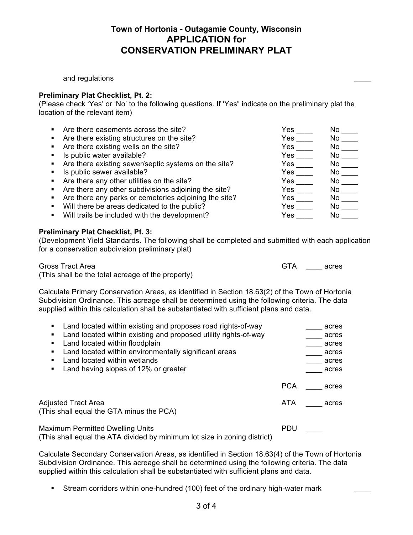and regulations

#### **Preliminary Plat Checklist, Pt. 2:**

(Please check 'Yes' or 'No' to the following questions. If 'Yes" indicate on the preliminary plat the location of the relevant item)

| Are there easements across the site?                  | Yes          | No.  |
|-------------------------------------------------------|--------------|------|
| Are there existing structures on the site?            | Yes          | No.  |
| Are there existing wells on the site?                 | Yes          | No.  |
| Is public water available?                            | Yes          | No   |
| Are there existing sewer/septic systems on the site?  | Yes          | No l |
| Is public sewer available?                            | Yes          | No l |
| Are there any other utilities on the site?            | Yes          | No l |
| Are there any other subdivisions adjoining the site?  | $Yes$ $\_\_$ | No l |
| Are there any parks or cemeteries adjoining the site? | Yes $\qquad$ | No l |
| Will there be areas dedicated to the public?          | Yes a        | No l |
| Will trails be included with the development?         | Yes          | No.  |
|                                                       |              |      |

#### **Preliminary Plat Checklist, Pt. 3:**

(Development Yield Standards. The following shall be completed and submitted with each application for a conservation subdivision preliminary plat)

Gross Tract Area GTA \_\_\_\_ acres (This shall be the total acreage of the property)

Calculate Primary Conservation Areas, as identified in Section 18.63(2) of the Town of Hortonia Subdivision Ordinance. This acreage shall be determined using the following criteria. The data supplied within this calculation shall be substantiated with sufficient plans and data.

| Land located within existing and proposes road rights-of-way    |            | acres |
|-----------------------------------------------------------------|------------|-------|
| Land located within existing and proposed utility rights-of-way |            | acres |
| Land located within floodplain                                  |            | acres |
| Land located within environmentally significant areas           |            | acres |
| Land located within wetlands                                    |            | acres |
| Land having slopes of 12% or greater                            |            | acres |
|                                                                 | <b>PCA</b> | acres |
| Adjusted Tract Area<br>(This shall equal the GTA minus the PCA) | ATA        | acres |
| <b>Maximum Permitted Dwelling Units</b>                         | <b>PDU</b> |       |

(This shall equal the ATA divided by minimum lot size in zoning district)

Calculate Secondary Conservation Areas, as identified in Section 18.63(4) of the Town of Hortonia Subdivision Ordinance. This acreage shall be determined using the following criteria. The data supplied within this calculation shall be substantiated with sufficient plans and data.

• Stream corridors within one-hundred (100) feet of the ordinary high-water mark